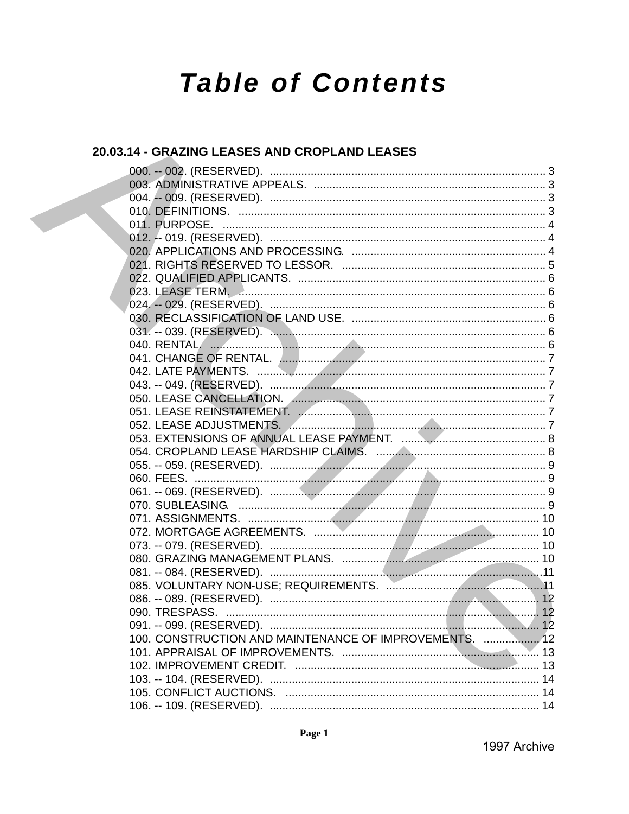# **Table of Contents**

# 20.03.14 - GRAZING LEASES AND CROPLAND LEASES

|  | 100. CONSTRUCTION AND MAINTENANCE OF IMPROVEMENTS.  12 |  |
|--|--------------------------------------------------------|--|
|  |                                                        |  |
|  |                                                        |  |
|  |                                                        |  |
|  |                                                        |  |
|  |                                                        |  |
|  |                                                        |  |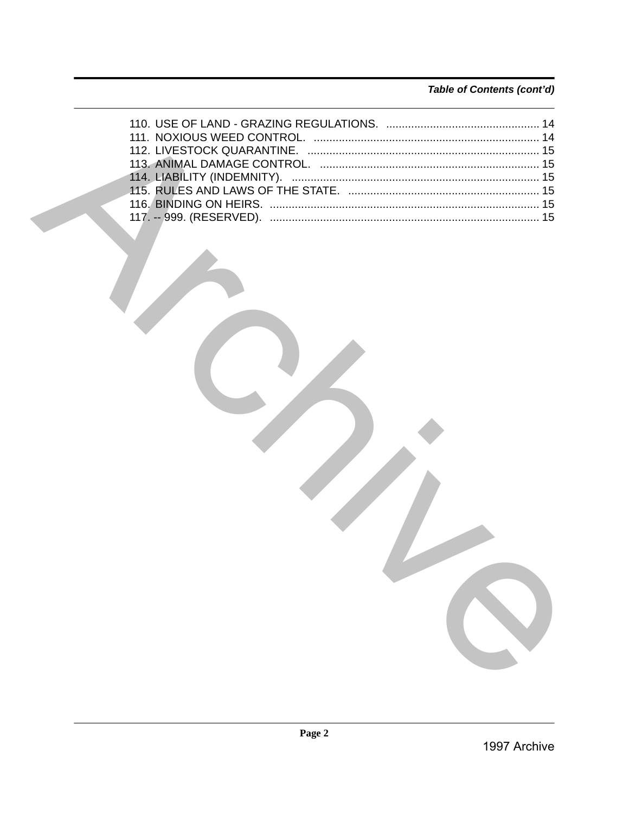# Table of Contents (cont'd)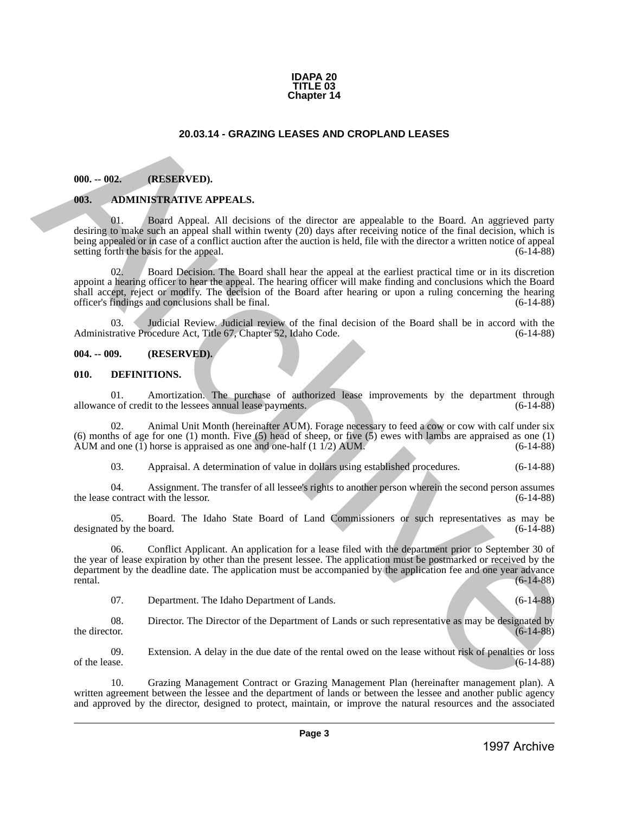#### **IDAPA 20 TITLE 03 Chapter 14**

# **20.03.14 - GRAZING LEASES AND CROPLAND LEASES**

### <span id="page-2-1"></span>**000. -- 002. (RESERVED).**

### <span id="page-2-2"></span>**003. ADMINISTRATIVE APPEALS.**

01. Board Appeal. All decisions of the director are appealable to the Board. An aggrieved party desiring to make such an appeal shall within twenty (20) days after receiving notice of the final decision, which is being appealed or in case of a conflict auction after the auction is held, file with the director a written notice of appeal setting forth the basis for the appeal.  $(6-14-88)$ 

02. Board Decision. The Board shall hear the appeal at the earliest practical time or in its discretion appoint a hearing officer to hear the appeal. The hearing officer will make finding and conclusions which the Board shall accept, reject or modify. The decision of the Board after hearing or upon a ruling concerning the hearing officer's findings and conclusions shall be final. (6-14-88)

03. Judicial Review. Judicial review of the final decision of the Board shall be in accord with the Administrative Procedure Act, Title 67, Chapter 52, Idaho Code. (6-14-88)

#### <span id="page-2-3"></span>**004. -- 009. (RESERVED).**

#### <span id="page-2-4"></span>**010. DEFINITIONS.**

01. Amortization. The purchase of authorized lease improvements by the department through e of credit to the lessees annual lease payments. (6-14-88) allowance of credit to the lessees annual lease payments.

02. Animal Unit Month (hereinafter AUM). Forage necessary to feed a cow or cow with calf under six (6) months of age for one (1) month. Five (5) head of sheep, or five (5) ewes with lambs are appraised as one (1) AUM and one (1) horse is appraised as one and one-half  $(1 \overline{1}/2)$  AUM. (6-14-88)

03. Appraisal. A determination of value in dollars using established procedures. (6-14-88)

04. Assignment. The transfer of all lessee's rights to another person wherein the second person assumes contract with the lessor. (6-14-88) the lease contract with the lessor.

05. Board. The Idaho State Board of Land Commissioners or such representatives as may be ed by the board. (6-14-88) designated by the board.

<span id="page-2-0"></span>06. Conflict Applicant. An application for a lease filed with the department prior to September 30 of the year of lease expiration by other than the present lessee. The application must be postmarked or received by the department by the deadline date. The application must be accompanied by the application fee and one year advance  $r = (6-14-88)$ 20.03.14 - GRAZING LEASES AND CROPLAND LEASES<br>
1998. - (02. (ITSURVED).<br>
1993. - (02. (ITSURVED).<br>
1993. - (02. (ITSURVED).<br>
1993. - (02. (ITSURVED).<br>
1993. - (02. (ITSURVED).<br>
1993. - (02. (ITSURVED).<br>
1993. - (02. (ITSU

07. Department. The Idaho Department of Lands. (6-14-88)

08. Director. The Director of the Department of Lands or such representative as may be designated by the director. (6-14-88) the director.  $(6-14-88)$ 

09. Extension. A delay in the due date of the rental owed on the lease without risk of penalties or loss of the lease.  $(6-14-88)$ of the lease.  $(6-14-88)$ 

10. Grazing Management Contract or Grazing Management Plan (hereinafter management plan). A written agreement between the lessee and the department of lands or between the lessee and another public agency and approved by the director, designed to protect, maintain, or improve the natural resources and the associated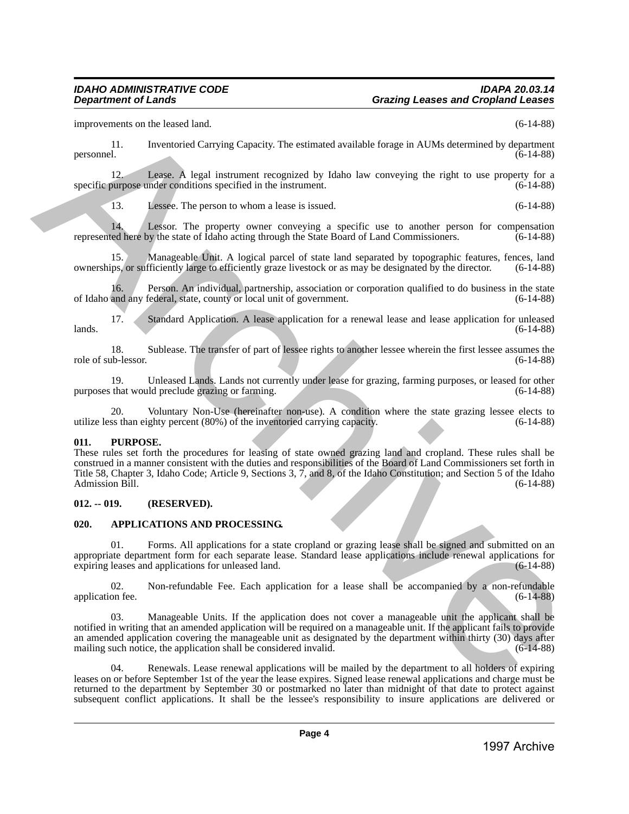improvements on the leased land. (6-14-88)

11. Inventoried Carrying Capacity. The estimated available forage in AUMs determined by department personnel. (6-14-88)

12. Lease. A legal instrument recognized by Idaho law conveying the right to use property for a purpose under conditions specified in the instrument. (6-14-88) specific purpose under conditions specified in the instrument.

13. Lessee. The person to whom a lease is issued. (6-14-88)

14. Lessor. The property owner conveying a specific use to another person for compensation ed here by the state of Idaho acting through the State Board of Land Commissioners. (6-14-88) represented here by the state of Idaho acting through the State Board of Land Commissioners.

Manageable Unit. A logical parcel of state land separated by topographic features, fences, land ownerships, or sufficiently large to efficiently graze livestock or as may be designated by the director. (6-14-88)

16. Person. An individual, partnership, association or corporation qualified to do business in the state and any federal, state, county or local unit of government. (6-14-88) of Idaho and any federal, state, county or local unit of government.

17. Standard Application. A lease application for a renewal lease and lease application for unleased  $lands.$  (6-14-88)

18. Sublease. The transfer of part of lessee rights to another lessee wherein the first lessee assumes the ub-lessor. (6-14-88) role of sub-lessor.

19. Unleased Lands. Lands not currently under lease for grazing, farming purposes, or leased for other that would preclude grazing or farming.  $(6-14-88)$ purposes that would preclude grazing or farming.

Voluntary Non-Use (hereinafter non-use). A condition where the state grazing lessee elects to ghty percent (80%) of the inventoried carrying capacity. (6-14-88) utilize less than eighty percent  $(80%)$  of the inventoried carrying capacity.

# <span id="page-3-0"></span>**011. PURPOSE.**

These rules set forth the procedures for leasing of state owned grazing land and cropland. These rules shall be construed in a manner consistent with the duties and responsibilities of the Board of Land Commissioners set forth in Title 58, Chapter 3, Idaho Code; Article 9, Sections 3, 7, and 8, of the Idaho Constitution; and Section 5 of the Idaho Admission Bill. (6-14-88)

# <span id="page-3-1"></span>**012. -- 019. (RESERVED).**

# <span id="page-3-2"></span>**020. APPLICATIONS AND PROCESSING.**

01. Forms. All applications for a state cropland or grazing lease shall be signed and submitted on an appropriate department form for each separate lease. Standard lease applications include renewal applications for expiring leases and applications for unleased land.  $(6-14-88)$ expiring leases and applications for unleased land.

02. Non-refundable Fee. Each application for a lease shall be accompanied by a non-refundable on fee. (6-14-88) application fee.

03. Manageable Units. If the application does not cover a manageable unit the applicant shall be notified in writing that an amended application will be required on a manageable unit. If the applicant fails to provide an amended application covering the manageable unit as designated by the department within thirty (30) days after mailing such notice, the application shall be considered invalid. (6-14-88)

04. Renewals. Lease renewal applications will be mailed by the department to all holders of expiring leases on or before September 1st of the year the lease expires. Signed lease renewal applications and charge must be returned to the department by September 30 or postmarked no later than midnight of that date to protect against subsequent conflict applications. It shall be the lessee's responsibility to insure applications are delivered or Expression on the leadst limit. In the control of the law interesting in the control of the systems of the systems of the systems of the systems of the systems of the systems of the systems of the systems of the systems o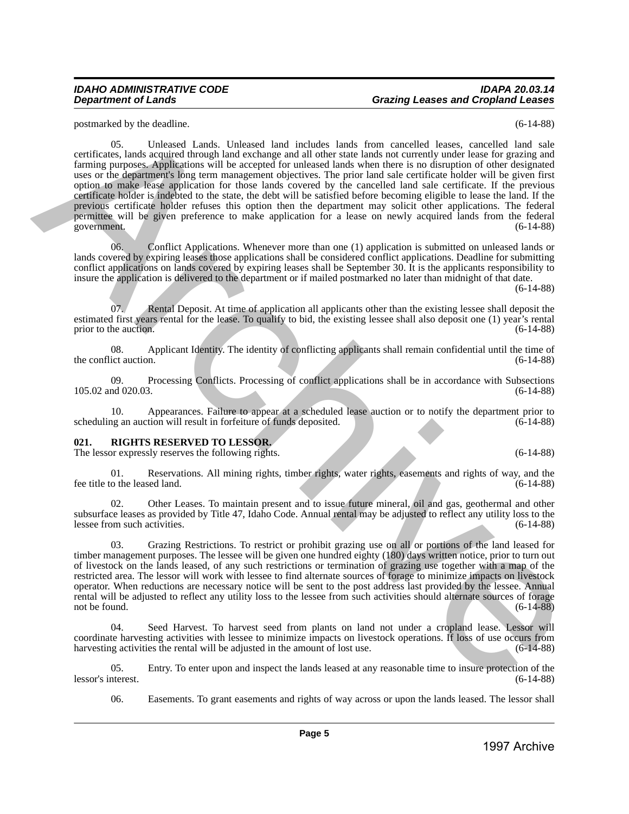# *IDAHO ADMINISTRATIVE CODE IDAPA 20.03.14 Department of Lands Grazing Leases and Cropland Leases*

postmarked by the deadline. (6-14-88)

05. Unleased Lands. Unleased land includes lands from cancelled leases, cancelled land sale certificates, lands acquired through land exchange and all other state lands not currently under lease for grazing and farming purposes. Applications will be accepted for unleased lands when there is no disruption of other designated uses or the department's long term management objectives. The prior land sale certificate holder will be given first option to make lease application for those lands covered by the cancelled land sale certificate. If the previous certificate holder is indebted to the state, the debt will be satisfied before becoming eligible to lease the land. If the previous certificate holder refuses this option then the department may solicit other applications. The federal permittee will be given preference to make application for a lease on newly acquired lands from the federal government. (6-14-88) government. (6-14-88) positional by the visible distribution of the basis of the state from enterties (see, concelled bisis in the continue of the state from the continue of the state of the state of the state of the state of the state of the

06. Conflict Applications. Whenever more than one (1) application is submitted on unleased lands or lands covered by expiring leases those applications shall be considered conflict applications. Deadline for submitting conflict applications on lands covered by expiring leases shall be September 30. It is the applicants responsibility to insure the application is delivered to the department or if mailed postmarked no later than midnight of that date.

(6-14-88)

07. Rental Deposit. At time of application all applicants other than the existing lessee shall deposit the estimated first years rental for the lease. To qualify to bid, the existing lessee shall also deposit one (1) year's rental prior to the auction. (6-14-88) prior to the auction.

08. Applicant Identity. The identity of conflicting applicants shall remain confidential until the time of ict auction. (6-14-88) the conflict auction.

09. Processing Conflicts. Processing of conflict applications shall be in accordance with Subsections nd 020.03. (6-14-88) 105.02 and 020.03.

10. Appearances. Failure to appear at a scheduled lease auction or to notify the department prior to scheduling an auction will result in forfeiture of funds deposited.

# <span id="page-4-0"></span>**021. RIGHTS RESERVED TO LESSOR.**

The lessor expressly reserves the following rights. (6-14-88) (6-14-88)

01. Reservations. All mining rights, timber rights, water rights, easements and rights of way, and the co the leased land. (6-14-88) fee title to the leased land.

02. Other Leases. To maintain present and to issue future mineral, oil and gas, geothermal and other subsurface leases as provided by Title 47, Idaho Code. Annual rental may be adjusted to reflect any utility loss to the lessee from such activities. (6-14-88) lessee from such activities.

03. Grazing Restrictions. To restrict or prohibit grazing use on all or portions of the land leased for timber management purposes. The lessee will be given one hundred eighty (180) days written notice, prior to turn out of livestock on the lands leased, of any such restrictions or termination of grazing use together with a map of the restricted area. The lessor will work with lessee to find alternate sources of forage to minimize impacts on livestock operator. When reductions are necessary notice will be sent to the post address last provided by the lessee. Annual rental will be adjusted to reflect any utility loss to the lessee from such activities should alternate sources of forage not be found.  $(6-14-88)$ 

Seed Harvest. To harvest seed from plants on land not under a cropland lease. Lessor will coordinate harvesting activities with lessee to minimize impacts on livestock operations. If loss of use occurs from harvesting activities the rental will be adjusted in the amount of lost use. (6-14-88)

05. Entry. To enter upon and inspect the lands leased at any reasonable time to insure protection of the interest. (6-14-88) lessor's interest.

06. Easements. To grant easements and rights of way across or upon the lands leased. The lessor shall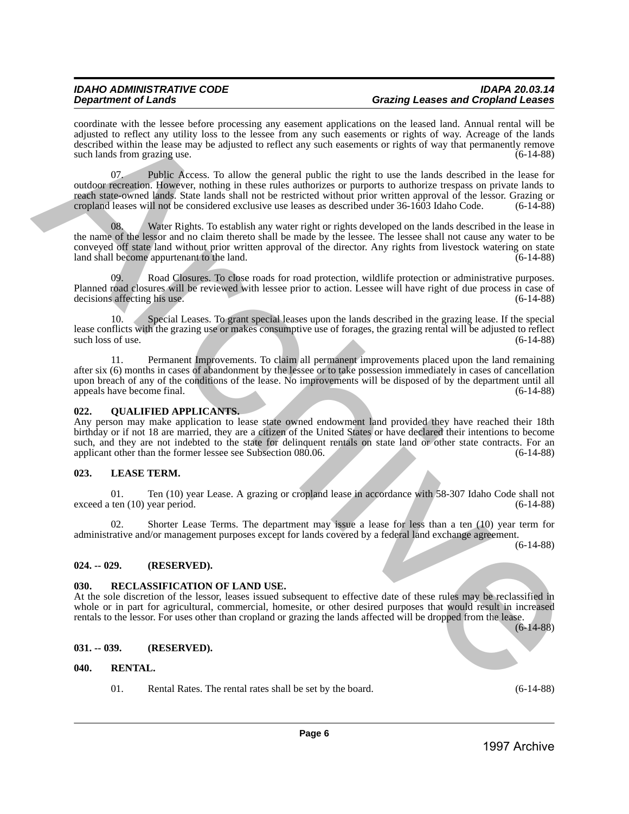coordinate with the lessee before processing any easement applications on the leased land. Annual rental will be adjusted to reflect any utility loss to the lessee from any such easements or rights of way. Acreage of the lands described within the lease may be adjusted to reflect any such easements or rights of way that permanently remove<br>such lands from grazing use. (6-14-88) such lands from grazing use.

07. Public Access. To allow the general public the right to use the lands described in the lease for outdoor recreation. However, nothing in these rules authorizes or purports to authorize trespass on private lands to reach state-owned lands. State lands shall not be restricted without prior written approval of the lessor. Grazing or cropland leases will not be considered exclusive use leases as described under 36-1603 Idaho Code. (6-14-88)

Water Rights. To establish any water right or rights developed on the lands described in the lease in the name of the lessor and no claim thereto shall be made by the lessee. The lessee shall not cause any water to be conveyed off state land without prior written approval of the director. Any rights from livestock watering on state land shall become appurtenant to the land. 1993 and the latter between the three interests are considered in the based into Archive Archives and the latter between the considered into a state of the state of the state of the state of the state of the state of the

09. Road Closures. To close roads for road protection, wildlife protection or administrative purposes. Planned road closures will be reviewed with lessee prior to action. Lessee will have right of due process in case of decisions affecting his use. (6-14-88) decisions affecting his use.

10. Special Leases. To grant special leases upon the lands described in the grazing lease. If the special lease conflicts with the grazing use or makes consumptive use of forages, the grazing rental will be adjusted to reflect such loss of use. (6-14-88) such loss of use.

11. Permanent Improvements. To claim all permanent improvements placed upon the land remaining after six (6) months in cases of abandonment by the lessee or to take possession immediately in cases of cancellation upon breach of any of the conditions of the lease. No improvements will be disposed of by the department until all appeals have become final. (6-14-88) appeals have become final.

# <span id="page-5-0"></span>**022. QUALIFIED APPLICANTS.**

Any person may make application to lease state owned endowment land provided they have reached their 18th birthday or if not 18 are married, they are a citizen of the United States or have declared their intentions to become such, and they are not indebted to the state for delinquent rentals on state land or other state contracts. For an applicant other than the former lessee see Subsection 080.06. (6-14-88) applicant other than the former lessee see Subsection 080.06.

# <span id="page-5-1"></span>**023. LEASE TERM.**

01. Ten (10) year Lease. A grazing or cropland lease in accordance with 58-307 Idaho Code shall not ten (10) year period. (6-14-88) exceed a ten  $(10)$  year period.

02. Shorter Lease Terms. The department may issue a lease for less than a ten (10) year term for administrative and/or management purposes except for lands covered by a federal land exchange agreement.

(6-14-88)

# <span id="page-5-2"></span>**024. -- 029. (RESERVED).**

### <span id="page-5-3"></span>**030. RECLASSIFICATION OF LAND USE.**

At the sole discretion of the lessor, leases issued subsequent to effective date of these rules may be reclassified in whole or in part for agricultural, commercial, homesite, or other desired purposes that would result in increased rentals to the lessor. For uses other than cropland or grazing the lands affected will be dropped from the lease. (6-14-88)

### <span id="page-5-4"></span>**031. -- 039. (RESERVED).**

### <span id="page-5-5"></span>**040. RENTAL.**

01. Rental Rates. The rental rates shall be set by the board. (6-14-88)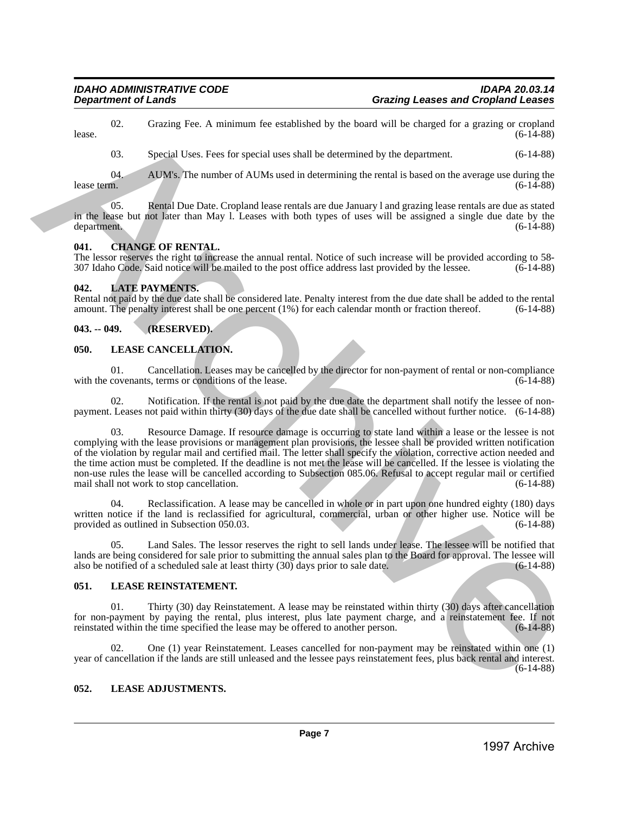02. Grazing Fee. A minimum fee established by the board will be charged for a grazing or cropland (6-14-88) lease.  $(6-14-88)$ 

03. Special Uses. Fees for special uses shall be determined by the department. (6-14-88)

04. AUM's. The number of AUMs used in determining the rental is based on the average use during the lease term.  $(6-14-88)$ lease term. (6-14-88)

05. Rental Due Date. Cropland lease rentals are due January l and grazing lease rentals are due as stated in the lease but not later than May l. Leases with both types of uses will be assigned a single due date by the department. (6-14-88) department. (6-14-88)

# <span id="page-6-0"></span>**041. CHANGE OF RENTAL.**

The lessor reserves the right to increase the annual rental. Notice of such increase will be provided according to 58- 307 Idaho Code. Said notice will be mailed to the post office address last provided by the lessee. (6-14-88)

# <span id="page-6-1"></span>**042. LATE PAYMENTS.**

Rental not paid by the due date shall be considered late. Penalty interest from the due date shall be added to the rental amount. The penalty interest shall be one percent (1%) for each calendar month or fraction thereof. (6-14-88)

# <span id="page-6-2"></span>**043. -- 049. (RESERVED).**

# <span id="page-6-3"></span>**050. LEASE CANCELLATION.**

01. Cancellation. Leases may be cancelled by the director for non-payment of rental or non-compliance covenants, terms or conditions of the lease. with the covenants, terms or conditions of the lease.

02. Notification. If the rental is not paid by the due date the department shall notify the lessee of nonpayment. Leases not paid within thirty (30) days of the due date shall be cancelled without further notice. (6-14-88)

Resource Damage. If resource damage is occurring to state land within a lease or the lessee is not complying with the lease provisions or management plan provisions, the lessee shall be provided written notification of the violation by regular mail and certified mail. The letter shall specify the violation, corrective action needed and the time action must be completed. If the deadline is not met the lease will be cancelled. If the lessee is violating the non-use rules the lease will be cancelled according to Subsection 085.06. Refusal to accept regular mail or certified mail shall not work to stop cancellation. (6-14-88) mail shall not work to stop cancellation. 1997 Co. 4 Contains the contained by the board will be changed like as compared on the board of the contained on the contained of the contained of the contained by the contained of the contained of the contained of the co

04. Reclassification. A lease may be cancelled in whole or in part upon one hundred eighty (180) days written notice if the land is reclassified for agricultural, commercial, urban of other higher use. Notice will be provided as outlined in Subsection 050.03. (6-14-88) provided as outlined in Subsection 050.03.

05. Land Sales. The lessor reserves the right to sell lands under lease. The lessee will be notified that lands are being considered for sale prior to submitting the annual sales plan to the Board for approval. The lessee will also be notified of a scheduled sale at least thirty (30) days prior to sale date.  $(6-14-88)$ also be notified of a scheduled sale at least thirty  $(30)$  days prior to sale date.

# <span id="page-6-4"></span>**051. LEASE REINSTATEMENT.**

01. Thirty (30) day Reinstatement. A lease may be reinstated within thirty (30) days after cancellation for non-payment by paying the rental, plus interest, plus late payment charge, and a reinstatement fee. If not reinstated within the time specified the lease may be offered to another person. (6-14-88) reinstated within the time specified the lease may be offered to another person.

02. One (1) year Reinstatement. Leases cancelled for non-payment may be reinstated within one (1) year of cancellation if the lands are still unleased and the lessee pays reinstatement fees, plus back rental and interest.  $(6-14-88)$ 

# <span id="page-6-5"></span>**052. LEASE ADJUSTMENTS.**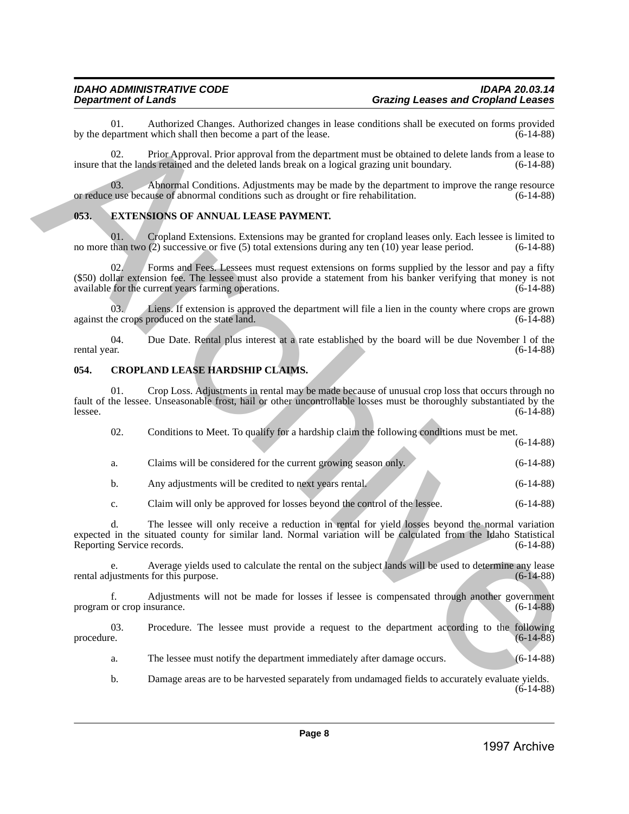## <span id="page-7-0"></span>**053. EXTENSIONS OF ANNUAL LEASE PAYMENT.**

# <span id="page-7-1"></span>**054. CROPLAND LEASE HARDSHIP CLAIMS.**

| procedure. | c.<br>d.<br>f.<br>03.<br>a.<br>b. | The lessee will only receive a reduction in rental for yield losses beyond the normal variation<br>expected in the situated county for similar land. Normal variation will be calculated from the Idaho Statistical<br>Reporting Service records.<br>Average yields used to calculate the rental on the subject lands will be used to determine any lease<br>rental adjustments for this purpose.<br>Adjustments will not be made for losses if lessee is compensated through another government<br>program or crop insurance.<br>Procedure. The lessee must provide a request to the department according to the following<br>The lessee must notify the department immediately after damage occurs.<br>Damage areas are to be harvested separately from undamaged fields to accurately evaluate yields. | $(6-14-88)$<br>$(6-14-88)$<br>$(6-14-88)$<br>$(6-14-88)$<br>$(6-14-88)$<br>$(6-14-88)$                                                                                                                                                                                                                                                                                                                                                                                                                                                                                                                                                                                                                                                                                                                                                                                                                                                                                                                                                                                                                                                                                                                |
|------------|-----------------------------------|-----------------------------------------------------------------------------------------------------------------------------------------------------------------------------------------------------------------------------------------------------------------------------------------------------------------------------------------------------------------------------------------------------------------------------------------------------------------------------------------------------------------------------------------------------------------------------------------------------------------------------------------------------------------------------------------------------------------------------------------------------------------------------------------------------------|-------------------------------------------------------------------------------------------------------------------------------------------------------------------------------------------------------------------------------------------------------------------------------------------------------------------------------------------------------------------------------------------------------------------------------------------------------------------------------------------------------------------------------------------------------------------------------------------------------------------------------------------------------------------------------------------------------------------------------------------------------------------------------------------------------------------------------------------------------------------------------------------------------------------------------------------------------------------------------------------------------------------------------------------------------------------------------------------------------------------------------------------------------------------------------------------------------|
|            |                                   |                                                                                                                                                                                                                                                                                                                                                                                                                                                                                                                                                                                                                                                                                                                                                                                                           |                                                                                                                                                                                                                                                                                                                                                                                                                                                                                                                                                                                                                                                                                                                                                                                                                                                                                                                                                                                                                                                                                                                                                                                                       |
|            |                                   |                                                                                                                                                                                                                                                                                                                                                                                                                                                                                                                                                                                                                                                                                                                                                                                                           |                                                                                                                                                                                                                                                                                                                                                                                                                                                                                                                                                                                                                                                                                                                                                                                                                                                                                                                                                                                                                                                                                                                                                                                                       |
|            |                                   |                                                                                                                                                                                                                                                                                                                                                                                                                                                                                                                                                                                                                                                                                                                                                                                                           |                                                                                                                                                                                                                                                                                                                                                                                                                                                                                                                                                                                                                                                                                                                                                                                                                                                                                                                                                                                                                                                                                                                                                                                                       |
|            |                                   |                                                                                                                                                                                                                                                                                                                                                                                                                                                                                                                                                                                                                                                                                                                                                                                                           |                                                                                                                                                                                                                                                                                                                                                                                                                                                                                                                                                                                                                                                                                                                                                                                                                                                                                                                                                                                                                                                                                                                                                                                                       |
|            |                                   |                                                                                                                                                                                                                                                                                                                                                                                                                                                                                                                                                                                                                                                                                                                                                                                                           |                                                                                                                                                                                                                                                                                                                                                                                                                                                                                                                                                                                                                                                                                                                                                                                                                                                                                                                                                                                                                                                                                                                                                                                                       |
|            |                                   |                                                                                                                                                                                                                                                                                                                                                                                                                                                                                                                                                                                                                                                                                                                                                                                                           |                                                                                                                                                                                                                                                                                                                                                                                                                                                                                                                                                                                                                                                                                                                                                                                                                                                                                                                                                                                                                                                                                                                                                                                                       |
|            |                                   |                                                                                                                                                                                                                                                                                                                                                                                                                                                                                                                                                                                                                                                                                                                                                                                                           |                                                                                                                                                                                                                                                                                                                                                                                                                                                                                                                                                                                                                                                                                                                                                                                                                                                                                                                                                                                                                                                                                                                                                                                                       |
|            |                                   |                                                                                                                                                                                                                                                                                                                                                                                                                                                                                                                                                                                                                                                                                                                                                                                                           | $(6-14-88)$                                                                                                                                                                                                                                                                                                                                                                                                                                                                                                                                                                                                                                                                                                                                                                                                                                                                                                                                                                                                                                                                                                                                                                                           |
|            | b.                                | Any adjustments will be credited to next years rental.                                                                                                                                                                                                                                                                                                                                                                                                                                                                                                                                                                                                                                                                                                                                                    | $(6-14-88)$                                                                                                                                                                                                                                                                                                                                                                                                                                                                                                                                                                                                                                                                                                                                                                                                                                                                                                                                                                                                                                                                                                                                                                                           |
|            | a.                                | Claims will be considered for the current growing season only.                                                                                                                                                                                                                                                                                                                                                                                                                                                                                                                                                                                                                                                                                                                                            | $(6-14-88)$                                                                                                                                                                                                                                                                                                                                                                                                                                                                                                                                                                                                                                                                                                                                                                                                                                                                                                                                                                                                                                                                                                                                                                                           |
|            | 02.                               | Conditions to Meet. To qualify for a hardship claim the following conditions must be met.                                                                                                                                                                                                                                                                                                                                                                                                                                                                                                                                                                                                                                                                                                                 | $(6-14-88)$                                                                                                                                                                                                                                                                                                                                                                                                                                                                                                                                                                                                                                                                                                                                                                                                                                                                                                                                                                                                                                                                                                                                                                                           |
| lessee.    |                                   |                                                                                                                                                                                                                                                                                                                                                                                                                                                                                                                                                                                                                                                                                                                                                                                                           | $(6-14-88)$                                                                                                                                                                                                                                                                                                                                                                                                                                                                                                                                                                                                                                                                                                                                                                                                                                                                                                                                                                                                                                                                                                                                                                                           |
|            |                                   |                                                                                                                                                                                                                                                                                                                                                                                                                                                                                                                                                                                                                                                                                                                                                                                                           |                                                                                                                                                                                                                                                                                                                                                                                                                                                                                                                                                                                                                                                                                                                                                                                                                                                                                                                                                                                                                                                                                                                                                                                                       |
|            |                                   |                                                                                                                                                                                                                                                                                                                                                                                                                                                                                                                                                                                                                                                                                                                                                                                                           | $(6-14-88)$                                                                                                                                                                                                                                                                                                                                                                                                                                                                                                                                                                                                                                                                                                                                                                                                                                                                                                                                                                                                                                                                                                                                                                                           |
|            |                                   |                                                                                                                                                                                                                                                                                                                                                                                                                                                                                                                                                                                                                                                                                                                                                                                                           | $(6-14-88)$                                                                                                                                                                                                                                                                                                                                                                                                                                                                                                                                                                                                                                                                                                                                                                                                                                                                                                                                                                                                                                                                                                                                                                                           |
|            |                                   |                                                                                                                                                                                                                                                                                                                                                                                                                                                                                                                                                                                                                                                                                                                                                                                                           | $(6-14-88)$                                                                                                                                                                                                                                                                                                                                                                                                                                                                                                                                                                                                                                                                                                                                                                                                                                                                                                                                                                                                                                                                                                                                                                                           |
|            | 02.                               | Forms and Fees. Lessees must request extensions on forms supplied by the lessor and pay a fifty                                                                                                                                                                                                                                                                                                                                                                                                                                                                                                                                                                                                                                                                                                           |                                                                                                                                                                                                                                                                                                                                                                                                                                                                                                                                                                                                                                                                                                                                                                                                                                                                                                                                                                                                                                                                                                                                                                                                       |
|            | 01.                               | Cropland Extensions. Extensions may be granted for cropland leases only. Each lessee is limited to                                                                                                                                                                                                                                                                                                                                                                                                                                                                                                                                                                                                                                                                                                        | $(6-14-88)$                                                                                                                                                                                                                                                                                                                                                                                                                                                                                                                                                                                                                                                                                                                                                                                                                                                                                                                                                                                                                                                                                                                                                                                           |
| 053.       |                                   |                                                                                                                                                                                                                                                                                                                                                                                                                                                                                                                                                                                                                                                                                                                                                                                                           |                                                                                                                                                                                                                                                                                                                                                                                                                                                                                                                                                                                                                                                                                                                                                                                                                                                                                                                                                                                                                                                                                                                                                                                                       |
|            | 03.                               | Abnormal Conditions. Adjustments may be made by the department to improve the range resource                                                                                                                                                                                                                                                                                                                                                                                                                                                                                                                                                                                                                                                                                                              | $(6-14-88)$                                                                                                                                                                                                                                                                                                                                                                                                                                                                                                                                                                                                                                                                                                                                                                                                                                                                                                                                                                                                                                                                                                                                                                                           |
|            | 02.                               | Prior Approval. Prior approval from the department must be obtained to delete lands from a lease to                                                                                                                                                                                                                                                                                                                                                                                                                                                                                                                                                                                                                                                                                                       | $(6-14-88)$                                                                                                                                                                                                                                                                                                                                                                                                                                                                                                                                                                                                                                                                                                                                                                                                                                                                                                                                                                                                                                                                                                                                                                                           |
|            | 01.                               | Authorized Changes. Authorized changes in lease conditions shall be executed on forms provided                                                                                                                                                                                                                                                                                                                                                                                                                                                                                                                                                                                                                                                                                                            | $(6-14-88)$                                                                                                                                                                                                                                                                                                                                                                                                                                                                                                                                                                                                                                                                                                                                                                                                                                                                                                                                                                                                                                                                                                                                                                                           |
|            | 054.                              | 03.7<br>04.<br>rental year.<br>01.                                                                                                                                                                                                                                                                                                                                                                                                                                                                                                                                                                                                                                                                                                                                                                        | by the department which shall then become a part of the lease.<br>insure that the lands retained and the deleted lands break on a logical grazing unit boundary.<br>or reduce use because of abnormal conditions such as drought or fire rehabilitation.<br><b>EXTENSIONS OF ANNUAL LEASE PAYMENT.</b><br>no more than two $(2)$ successive or five $(5)$ total extensions during any ten $(10)$ year lease period.<br>(\$50) dollar extension fee. The lessee must also provide a statement from his banker verifying that money is not<br>available for the current years farming operations.<br>Liens. If extension is approved the department will file a lien in the county where crops are grown<br>against the crops produced on the state land.<br>Due Date. Rental plus interest at a rate established by the board will be due November 1 of the<br>CROPLAND LEASE HARDSHIP CLAIMS.<br>Crop Loss. Adjustments in rental may be made because of unusual crop loss that occurs through no<br>fault of the lessee. Unseasonable frost, hail or other uncontrollable losses must be thoroughly substantiated by the<br>Claim will only be approved for losses beyond the control of the lessee. |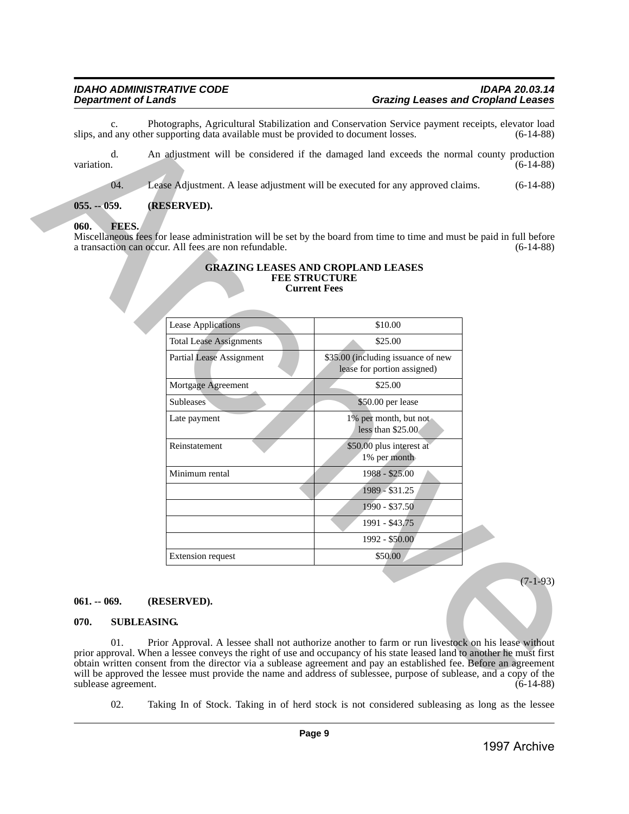### <span id="page-8-1"></span><span id="page-8-0"></span>**060. FEES.**

#### **GRAZING LEASES AND CROPLAND LEASES FEE STRUCTURE Current Fees**

| $C_{\star}$      | slips, and any other supporting data available must be provided to document losses.                                                                                                                                                                                                                                                                                                                                                                                                                           | Photographs, Agricultural Stabilization and Conservation Service payment receipts, elevator load                       | $(6-14-88)$  |  |  |  |  |
|------------------|---------------------------------------------------------------------------------------------------------------------------------------------------------------------------------------------------------------------------------------------------------------------------------------------------------------------------------------------------------------------------------------------------------------------------------------------------------------------------------------------------------------|------------------------------------------------------------------------------------------------------------------------|--------------|--|--|--|--|
| d.<br>variation. |                                                                                                                                                                                                                                                                                                                                                                                                                                                                                                               | An adjustment will be considered if the damaged land exceeds the normal county production                              | $(6-14-88)$  |  |  |  |  |
| 04.              |                                                                                                                                                                                                                                                                                                                                                                                                                                                                                                               | Lease Adjustment. A lease adjustment will be executed for any approved claims.                                         | $(6-14-88)$  |  |  |  |  |
| $055. - 059.$    | (RESERVED).                                                                                                                                                                                                                                                                                                                                                                                                                                                                                                   |                                                                                                                        |              |  |  |  |  |
| 060.<br>FEES.    | a transaction can occur. All fees are non refundable.                                                                                                                                                                                                                                                                                                                                                                                                                                                         | Miscellaneous fees for lease administration will be set by the board from time to time and must be paid in full before | $(6-14-88)$  |  |  |  |  |
|                  |                                                                                                                                                                                                                                                                                                                                                                                                                                                                                                               | <b>GRAZING LEASES AND CROPLAND LEASES</b><br><b>FEE STRUCTURE</b><br><b>Current Fees</b>                               |              |  |  |  |  |
|                  | <b>Lease Applications</b>                                                                                                                                                                                                                                                                                                                                                                                                                                                                                     | \$10.00                                                                                                                |              |  |  |  |  |
|                  | <b>Total Lease Assignments</b>                                                                                                                                                                                                                                                                                                                                                                                                                                                                                | \$25.00                                                                                                                |              |  |  |  |  |
|                  | <b>Partial Lease Assignment</b>                                                                                                                                                                                                                                                                                                                                                                                                                                                                               | \$35.00 (including issuance of new<br>lease for portion assigned)                                                      |              |  |  |  |  |
|                  | Mortgage Agreement                                                                                                                                                                                                                                                                                                                                                                                                                                                                                            | \$25.00                                                                                                                |              |  |  |  |  |
|                  | <b>Subleases</b>                                                                                                                                                                                                                                                                                                                                                                                                                                                                                              | \$50.00 per lease                                                                                                      |              |  |  |  |  |
|                  | Late payment                                                                                                                                                                                                                                                                                                                                                                                                                                                                                                  | 1% per month, but not<br>less than \$25.00                                                                             |              |  |  |  |  |
|                  | Reinstatement                                                                                                                                                                                                                                                                                                                                                                                                                                                                                                 | \$50.00 plus interest at<br>1% per month                                                                               |              |  |  |  |  |
|                  | Minimum rental                                                                                                                                                                                                                                                                                                                                                                                                                                                                                                | 1988 - \$25.00                                                                                                         |              |  |  |  |  |
|                  |                                                                                                                                                                                                                                                                                                                                                                                                                                                                                                               | 1989 - \$31.25                                                                                                         |              |  |  |  |  |
|                  |                                                                                                                                                                                                                                                                                                                                                                                                                                                                                                               | 1990 - \$37.50                                                                                                         |              |  |  |  |  |
|                  |                                                                                                                                                                                                                                                                                                                                                                                                                                                                                                               | 1991 - \$43,75                                                                                                         |              |  |  |  |  |
|                  |                                                                                                                                                                                                                                                                                                                                                                                                                                                                                                               | 1992 - \$50.00                                                                                                         |              |  |  |  |  |
|                  | <b>Extension request</b>                                                                                                                                                                                                                                                                                                                                                                                                                                                                                      | \$50.00                                                                                                                |              |  |  |  |  |
|                  |                                                                                                                                                                                                                                                                                                                                                                                                                                                                                                               |                                                                                                                        | $(7-1-93)$   |  |  |  |  |
| $061. - 069.$    |                                                                                                                                                                                                                                                                                                                                                                                                                                                                                                               |                                                                                                                        |              |  |  |  |  |
|                  | (RESERVED).                                                                                                                                                                                                                                                                                                                                                                                                                                                                                                   |                                                                                                                        |              |  |  |  |  |
|                  | 070.<br><b>SUBLEASING.</b>                                                                                                                                                                                                                                                                                                                                                                                                                                                                                    |                                                                                                                        |              |  |  |  |  |
| 01.              | Prior Approval. A lessee shall not authorize another to farm or run livestock on his lease without<br>prior approval. When a lessee conveys the right of use and occupancy of his state leased land to another he must first<br>obtain written consent from the director via a sublease agreement and pay an established fee. Before an agreement<br>will be approved the lessee must provide the name and address of sublessee, purpose of sublease, and a copy of the<br>sublease agreement.<br>$(6-14-88)$ |                                                                                                                        |              |  |  |  |  |
| 02.              |                                                                                                                                                                                                                                                                                                                                                                                                                                                                                                               | Taking In of Stock. Taking in of herd stock is not considered subleasing as long as the lessee                         |              |  |  |  |  |
|                  |                                                                                                                                                                                                                                                                                                                                                                                                                                                                                                               | Page 9                                                                                                                 |              |  |  |  |  |
|                  |                                                                                                                                                                                                                                                                                                                                                                                                                                                                                                               |                                                                                                                        | 1997 Archive |  |  |  |  |

### <span id="page-8-2"></span>**061. -- 069. (RESERVED).**

#### <span id="page-8-3"></span>**070. SUBLEASING.**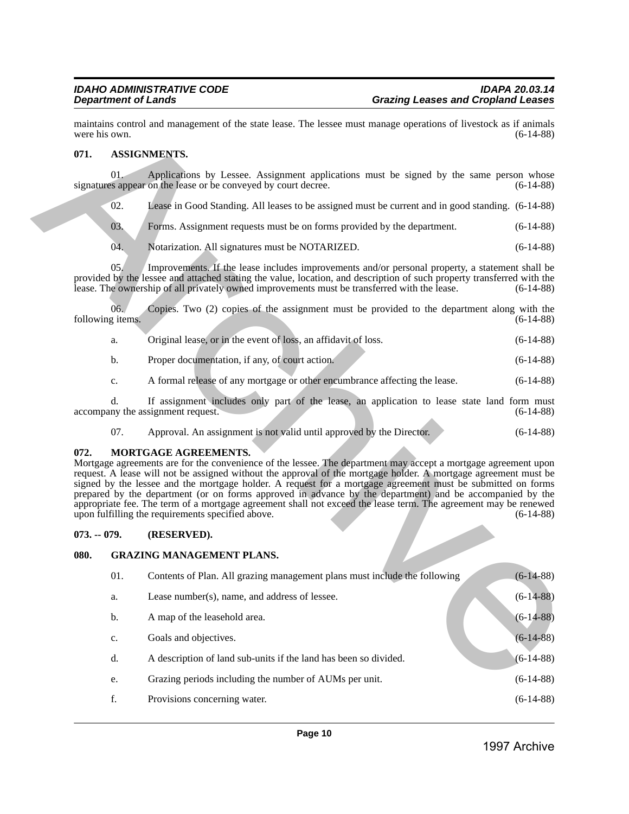# <span id="page-9-0"></span>**071. ASSIGNMENTS.**

| Original lease, or in the event of loss, an affidavit of loss. | $(6-14-88)$ |
|----------------------------------------------------------------|-------------|
| Proper documentation, if any, of court action.                 | $(6-14-88)$ |

### <span id="page-9-1"></span>**072. MORTGAGE AGREEMENTS.**

# <span id="page-9-2"></span>**073. -- 079. (RESERVED).**

### <span id="page-9-3"></span>**080. GRAZING MANAGEMENT PLANS.**

|      | were his own.                                                                                                                                                                                                                                                                                                                                                                                                                                                                                                                                                                                                                                       | maintains control and management of the state lease. The lessee must manage operations of livestock as if animals                                                                                                                                                                                                         | $(6-14-88)$  |  |  |
|------|-----------------------------------------------------------------------------------------------------------------------------------------------------------------------------------------------------------------------------------------------------------------------------------------------------------------------------------------------------------------------------------------------------------------------------------------------------------------------------------------------------------------------------------------------------------------------------------------------------------------------------------------------------|---------------------------------------------------------------------------------------------------------------------------------------------------------------------------------------------------------------------------------------------------------------------------------------------------------------------------|--------------|--|--|
| 071. |                                                                                                                                                                                                                                                                                                                                                                                                                                                                                                                                                                                                                                                     | <b>ASSIGNMENTS.</b>                                                                                                                                                                                                                                                                                                       |              |  |  |
|      | 01.                                                                                                                                                                                                                                                                                                                                                                                                                                                                                                                                                                                                                                                 | Applications by Lessee. Assignment applications must be signed by the same person whose<br>signatures appear on the lease or be conveyed by court decree.                                                                                                                                                                 | $(6-14-88)$  |  |  |
|      | 02.                                                                                                                                                                                                                                                                                                                                                                                                                                                                                                                                                                                                                                                 | Lease in Good Standing. All leases to be assigned must be current and in good standing. (6-14-88)                                                                                                                                                                                                                         |              |  |  |
|      | 03.                                                                                                                                                                                                                                                                                                                                                                                                                                                                                                                                                                                                                                                 | Forms. Assignment requests must be on forms provided by the department.                                                                                                                                                                                                                                                   | $(6-14-88)$  |  |  |
|      | 04.                                                                                                                                                                                                                                                                                                                                                                                                                                                                                                                                                                                                                                                 | Notarization. All signatures must be NOTARIZED.                                                                                                                                                                                                                                                                           | $(6-14-88)$  |  |  |
|      | 05/                                                                                                                                                                                                                                                                                                                                                                                                                                                                                                                                                                                                                                                 | Improvements. If the lease includes improvements and/or personal property, a statement shall be<br>provided by the lessee and attached stating the value, location, and description of such property transferred with the<br>lease. The ownership of all privately owned improvements must be transferred with the lease. | $(6-14-88)$  |  |  |
|      | 06.<br>following items.                                                                                                                                                                                                                                                                                                                                                                                                                                                                                                                                                                                                                             | Copies. Two (2) copies of the assignment must be provided to the department along with the                                                                                                                                                                                                                                | $(6-14-88)$  |  |  |
|      | a.                                                                                                                                                                                                                                                                                                                                                                                                                                                                                                                                                                                                                                                  | Original lease, or in the event of loss, an affidavit of loss.                                                                                                                                                                                                                                                            | $(6-14-88)$  |  |  |
|      | $\mathbf{b}$ .                                                                                                                                                                                                                                                                                                                                                                                                                                                                                                                                                                                                                                      | Proper documentation, if any, of court action.                                                                                                                                                                                                                                                                            | $(6-14-88)$  |  |  |
|      | c.                                                                                                                                                                                                                                                                                                                                                                                                                                                                                                                                                                                                                                                  | A formal release of any mortgage or other encumbrance affecting the lease.                                                                                                                                                                                                                                                | $(6-14-88)$  |  |  |
|      | d.                                                                                                                                                                                                                                                                                                                                                                                                                                                                                                                                                                                                                                                  | If assignment includes only part of the lease, an application to lease state land form must<br>accompany the assignment request.                                                                                                                                                                                          | $(6-14-88)$  |  |  |
|      | 07.                                                                                                                                                                                                                                                                                                                                                                                                                                                                                                                                                                                                                                                 | Approval. An assignment is not valid until approved by the Director.                                                                                                                                                                                                                                                      | $(6-14-88)$  |  |  |
|      | Mortgage agreements are for the convenience of the lessee. The department may accept a mortgage agreement upon<br>request. A lease will not be assigned without the approval of the mortgage holder. A mortgage agreement must be<br>signed by the lessee and the mortgage holder. A request for a mortgage agreement must be submitted on forms<br>prepared by the department (or on forms approved in advance by the department) and be accompanied by the<br>appropriate fee. The term of a mortgage agreement shall not exceed the lease term. The agreement may be renewed<br>upon fulfilling the requirements specified above.<br>$(6-14-88)$ |                                                                                                                                                                                                                                                                                                                           |              |  |  |
|      | $073. - 079.$                                                                                                                                                                                                                                                                                                                                                                                                                                                                                                                                                                                                                                       | (RESERVED).                                                                                                                                                                                                                                                                                                               |              |  |  |
| 080. |                                                                                                                                                                                                                                                                                                                                                                                                                                                                                                                                                                                                                                                     | <b>GRAZING MANAGEMENT PLANS.</b>                                                                                                                                                                                                                                                                                          |              |  |  |
|      | 01.                                                                                                                                                                                                                                                                                                                                                                                                                                                                                                                                                                                                                                                 | Contents of Plan. All grazing management plans must include the following                                                                                                                                                                                                                                                 | $(6-14-88)$  |  |  |
|      | a.                                                                                                                                                                                                                                                                                                                                                                                                                                                                                                                                                                                                                                                  | Lease number(s), name, and address of lessee.                                                                                                                                                                                                                                                                             | $(6-14-88)$  |  |  |
|      | b.                                                                                                                                                                                                                                                                                                                                                                                                                                                                                                                                                                                                                                                  | A map of the leasehold area.                                                                                                                                                                                                                                                                                              | $(6-14-88)$  |  |  |
|      | $\mathbf{c}.$                                                                                                                                                                                                                                                                                                                                                                                                                                                                                                                                                                                                                                       | Goals and objectives.                                                                                                                                                                                                                                                                                                     | $(6-14-88)$  |  |  |
|      | d.                                                                                                                                                                                                                                                                                                                                                                                                                                                                                                                                                                                                                                                  | A description of land sub-units if the land has been so divided.                                                                                                                                                                                                                                                          | $(6-14-88)$  |  |  |
|      | e.                                                                                                                                                                                                                                                                                                                                                                                                                                                                                                                                                                                                                                                  | Grazing periods including the number of AUMs per unit.                                                                                                                                                                                                                                                                    | $(6-14-88)$  |  |  |
|      | f.                                                                                                                                                                                                                                                                                                                                                                                                                                                                                                                                                                                                                                                  | Provisions concerning water.                                                                                                                                                                                                                                                                                              | $(6-14-88)$  |  |  |
|      |                                                                                                                                                                                                                                                                                                                                                                                                                                                                                                                                                                                                                                                     | Page 10                                                                                                                                                                                                                                                                                                                   |              |  |  |
|      |                                                                                                                                                                                                                                                                                                                                                                                                                                                                                                                                                                                                                                                     |                                                                                                                                                                                                                                                                                                                           | 1997 Archive |  |  |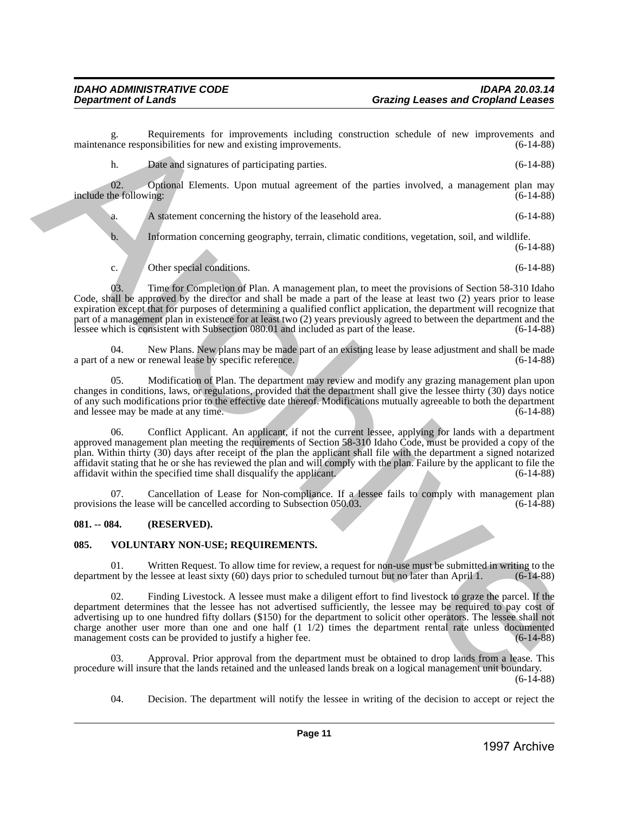g. Requirements for improvements including construction schedule of new improvements and nce responsibilities for new and existing improvements. (6-14-88) maintenance responsibilities for new and existing improvements.

h. Date and signatures of participating parties. (6-14-88)

02. Optional Elements. Upon mutual agreement of the parties involved, a management plan may be following: (6-14-88) include the following:

a. A statement concerning the history of the leasehold area. (6-14-88)

b. Information concerning geography, terrain, climatic conditions, vegetation, soil, and wildlife. (6-14-88)

c. Other special conditions. (6-14-88)

03. Time for Completion of Plan. A management plan, to meet the provisions of Section 58-310 Idaho Code, shall be approved by the director and shall be made a part of the lease at least two (2) years prior to lease expiration except that for purposes of determining a qualified conflict application, the department will recognize that part of a management plan in existence for at least two (2) years previously agreed to between the department and the lessee which is consistent with Subsection 080.01 and included as part of the lease.  $(6-14-88)$ lessee which is consistent with Subsection 080.01 and included as part of the lease.

04. New Plans. New plans may be made part of an existing lease by lease adjustment and shall be made a new or renewal lease by specific reference. a part of a new or renewal lease by specific reference.

05. Modification of Plan. The department may review and modify any grazing management plan upon changes in conditions, laws, or regulations, provided that the department shall give the lessee thirty (30) days notice of any such modifications prior to the effective date thereof. Modifications mutually agreeable to both the department and lessee may be made at any time.

06. Conflict Applicant. An applicant, if not the current lessee, applying for lands with a department approved management plan meeting the requirements of Section 58-310 Idaho Code, must be provided a copy of the plan. Within thirty (30) days after receipt of the plan the applicant shall file with the department a signed notarized affidavit stating that he or she has reviewed the plan and will comply with the plan. Failure by the applicant to file the affidavit within the specified time shall disqualify the applicant.  $(6-14-88)$ affidavit within the specified time shall disqualify the applicant. **Columbinistics** consider the interaction including to constrain the interaction of the interaction  $\alpha$ .<br> **Columbinistics** consider the interaction of the particular system constraints of the particular system constraint

Cancellation of Lease for Non-compliance. If a lessee fails to comply with management plan<br>se will be cancelled according to Subsection 050.03. (6-14-88) provisions the lease will be cancelled according to Subsection 050.03.

# <span id="page-10-0"></span>**081. -- 084. (RESERVED).**

# <span id="page-10-1"></span>**085. VOLUNTARY NON-USE; REQUIREMENTS.**

01. Written Request. To allow time for review, a request for non-use must be submitted in writing to the ent by the lessee at least sixty  $(60)$  days prior to scheduled turnout but no later than April 1.  $(6-14-88)$ department by the lessee at least sixty (60) days prior to scheduled turnout but no later than April 1.

02. Finding Livestock. A lessee must make a diligent effort to find livestock to graze the parcel. If the department determines that the lessee has not advertised sufficiently, the lessee may be required to pay cost of advertising up to one hundred fifty dollars (\$150) for the department to solicit other operators. The lessee shall not charge another user more than one and one half  $(1\ 1/2)$  times the department rental rate unless documented management costs can be provided to justify a higher fee.  $(6-14-88)$ management costs can be provided to justify a higher fee.

03. Approval. Prior approval from the department must be obtained to drop lands from a lease. This procedure will insure that the lands retained and the unleased lands break on a logical management unit boundary.  $(6-14-88)$ 

04. Decision. The department will notify the lessee in writing of the decision to accept or reject the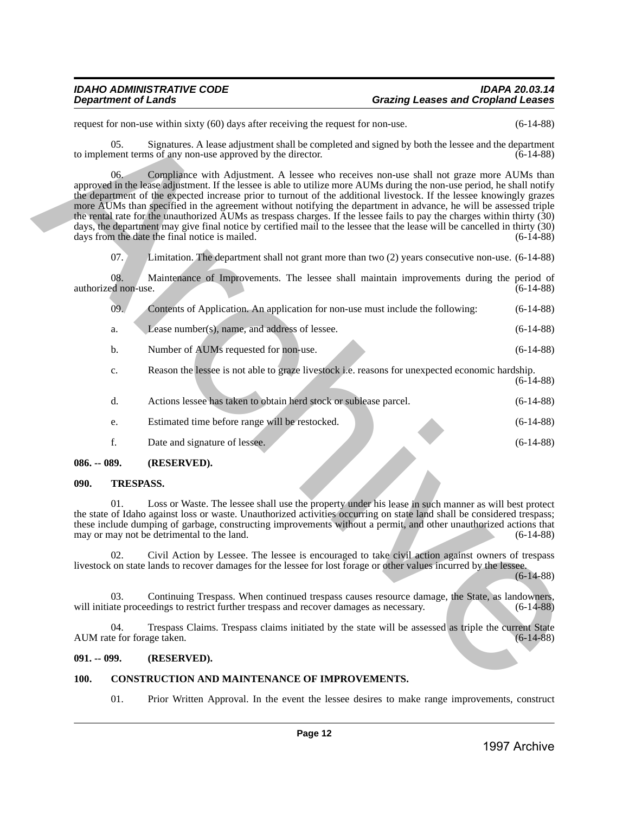|               |                                                                                                                                                                                                                                                                                                                                                                                                                          | request for non-use within sixty (60) days after receiving the request for non-use.                                                                                                                                                                                                                                                                                                                                                                                                                                                                                                                                                                                                                                                                                                        | $(6-14-88)$  |  |  |
|---------------|--------------------------------------------------------------------------------------------------------------------------------------------------------------------------------------------------------------------------------------------------------------------------------------------------------------------------------------------------------------------------------------------------------------------------|--------------------------------------------------------------------------------------------------------------------------------------------------------------------------------------------------------------------------------------------------------------------------------------------------------------------------------------------------------------------------------------------------------------------------------------------------------------------------------------------------------------------------------------------------------------------------------------------------------------------------------------------------------------------------------------------------------------------------------------------------------------------------------------------|--------------|--|--|
|               | 05.                                                                                                                                                                                                                                                                                                                                                                                                                      | Signatures. A lease adjustment shall be completed and signed by both the lessee and the department<br>to implement terms of any non-use approved by the director.                                                                                                                                                                                                                                                                                                                                                                                                                                                                                                                                                                                                                          | $(6-14-88)$  |  |  |
|               | 06.                                                                                                                                                                                                                                                                                                                                                                                                                      | Compliance with Adjustment. A lessee who receives non-use shall not graze more AUMs than<br>approved in the lease adjustment. If the lessee is able to utilize more AUMs during the non-use period, he shall notify<br>the department of the expected increase prior to turnout of the additional livestock. If the lessee knowingly grazes<br>more AUMs than specified in the agreement without notifying the department in advance, he will be assessed triple<br>the rental rate for the unauthorized $\overline{A}$ UMs as trespass charges. If the lessee fails to pay the charges within thirty (30)<br>days, the department may give final notice by certified mail to the lessee that the lease will be cancelled in thirty (30)<br>days from the date the final notice is mailed. | $(6-14-88)$  |  |  |
|               | 07.                                                                                                                                                                                                                                                                                                                                                                                                                      | Limitation. The department shall not grant more than two $(2)$ years consecutive non-use. $(6-14-88)$                                                                                                                                                                                                                                                                                                                                                                                                                                                                                                                                                                                                                                                                                      |              |  |  |
|               | 08.<br>authorized non-use.                                                                                                                                                                                                                                                                                                                                                                                               | Maintenance of Improvements. The lessee shall maintain improvements during the period of                                                                                                                                                                                                                                                                                                                                                                                                                                                                                                                                                                                                                                                                                                   | $(6-14-88)$  |  |  |
|               | 09.                                                                                                                                                                                                                                                                                                                                                                                                                      | Contents of Application. An application for non-use must include the following:                                                                                                                                                                                                                                                                                                                                                                                                                                                                                                                                                                                                                                                                                                            | $(6-14-88)$  |  |  |
|               | a.                                                                                                                                                                                                                                                                                                                                                                                                                       | Lease number(s), name, and address of lessee.                                                                                                                                                                                                                                                                                                                                                                                                                                                                                                                                                                                                                                                                                                                                              | $(6-14-88)$  |  |  |
|               | b.                                                                                                                                                                                                                                                                                                                                                                                                                       | Number of AUMs requested for non-use.                                                                                                                                                                                                                                                                                                                                                                                                                                                                                                                                                                                                                                                                                                                                                      | $(6-14-88)$  |  |  |
|               | c.                                                                                                                                                                                                                                                                                                                                                                                                                       | Reason the lessee is not able to graze livestock i.e. reasons for unexpected economic hardship.                                                                                                                                                                                                                                                                                                                                                                                                                                                                                                                                                                                                                                                                                            | $(6-14-88)$  |  |  |
|               | d.                                                                                                                                                                                                                                                                                                                                                                                                                       | Actions lessee has taken to obtain herd stock or sublease parcel.                                                                                                                                                                                                                                                                                                                                                                                                                                                                                                                                                                                                                                                                                                                          | $(6-14-88)$  |  |  |
|               | e.                                                                                                                                                                                                                                                                                                                                                                                                                       | Estimated time before range will be restocked.                                                                                                                                                                                                                                                                                                                                                                                                                                                                                                                                                                                                                                                                                                                                             | $(6-14-88)$  |  |  |
|               | f.                                                                                                                                                                                                                                                                                                                                                                                                                       | Date and signature of lessee.                                                                                                                                                                                                                                                                                                                                                                                                                                                                                                                                                                                                                                                                                                                                                              | $(6-14-88)$  |  |  |
| $086. - 089.$ |                                                                                                                                                                                                                                                                                                                                                                                                                          | (RESERVED).                                                                                                                                                                                                                                                                                                                                                                                                                                                                                                                                                                                                                                                                                                                                                                                |              |  |  |
| 090.          |                                                                                                                                                                                                                                                                                                                                                                                                                          | <b>TRESPASS.</b>                                                                                                                                                                                                                                                                                                                                                                                                                                                                                                                                                                                                                                                                                                                                                                           |              |  |  |
|               | Loss or Waste. The lessee shall use the property under his lease in such manner as will best protect<br>01.<br>the state of Idaho against loss or waste. Unauthorized activities occurring on state land shall be considered trespass;<br>these include dumping of garbage, constructing improvements without a permit, and other unauthorized actions that<br>may or may not be detrimental to the land.<br>$(6-14-88)$ |                                                                                                                                                                                                                                                                                                                                                                                                                                                                                                                                                                                                                                                                                                                                                                                            |              |  |  |
|               | 02.                                                                                                                                                                                                                                                                                                                                                                                                                      | Civil Action by Lessee. The lessee is encouraged to take civil action against owners of trespass<br>livestock on state lands to recover damages for the lessee for lost forage or other values incurred by the lessee.                                                                                                                                                                                                                                                                                                                                                                                                                                                                                                                                                                     | $(6-14-88)$  |  |  |
|               | 03.                                                                                                                                                                                                                                                                                                                                                                                                                      | Continuing Trespass. When continued trespass causes resource damage, the State, as landowners,<br>will initiate proceedings to restrict further trespass and recover damages as necessary.                                                                                                                                                                                                                                                                                                                                                                                                                                                                                                                                                                                                 | $(6-14-88)$  |  |  |
|               | 04.                                                                                                                                                                                                                                                                                                                                                                                                                      | Trespass Claims. Trespass claims initiated by the state will be assessed as triple the current State<br>AUM rate for forage taken.                                                                                                                                                                                                                                                                                                                                                                                                                                                                                                                                                                                                                                                         | $(6-14-88)$  |  |  |
| $091. - 099.$ |                                                                                                                                                                                                                                                                                                                                                                                                                          | (RESERVED).                                                                                                                                                                                                                                                                                                                                                                                                                                                                                                                                                                                                                                                                                                                                                                                |              |  |  |
| 100.          |                                                                                                                                                                                                                                                                                                                                                                                                                          | <b>CONSTRUCTION AND MAINTENANCE OF IMPROVEMENTS.</b>                                                                                                                                                                                                                                                                                                                                                                                                                                                                                                                                                                                                                                                                                                                                       |              |  |  |
|               | 01.                                                                                                                                                                                                                                                                                                                                                                                                                      | Prior Written Approval. In the event the lessee desires to make range improvements, construct                                                                                                                                                                                                                                                                                                                                                                                                                                                                                                                                                                                                                                                                                              |              |  |  |
|               |                                                                                                                                                                                                                                                                                                                                                                                                                          | Page 12                                                                                                                                                                                                                                                                                                                                                                                                                                                                                                                                                                                                                                                                                                                                                                                    |              |  |  |
|               |                                                                                                                                                                                                                                                                                                                                                                                                                          |                                                                                                                                                                                                                                                                                                                                                                                                                                                                                                                                                                                                                                                                                                                                                                                            | 1997 Archive |  |  |

|    | Actions lessee has taken to obtain herd stock or sublease parcel. | $(6-14-88)$ |
|----|-------------------------------------------------------------------|-------------|
| e. | Estimated time before range will be restocked.                    | $(6-14-88)$ |

# <span id="page-11-0"></span>**086. -- 089. (RESERVED).**

### <span id="page-11-1"></span>**090. TRESPASS.**

# <span id="page-11-2"></span>**091. -- 099. (RESERVED).**

### <span id="page-11-3"></span>**100. CONSTRUCTION AND MAINTENANCE OF IMPROVEMENTS.**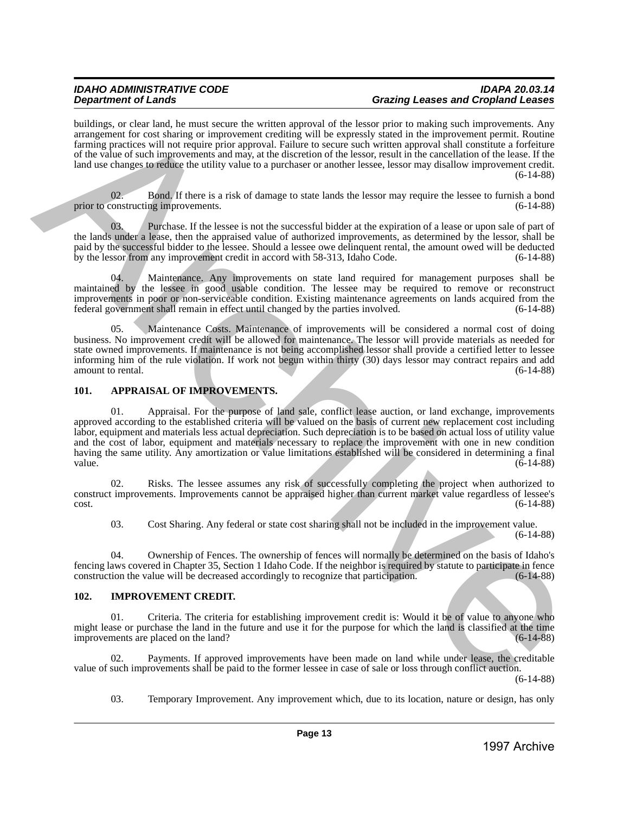# *IDAHO ADMINISTRATIVE CODE IDAPA 20.03.14 Department of Lands Grazing Leases and Cropland Leases*

buildings, or clear land, he must secure the written approval of the lessor prior to making such improvements. Any arrangement for cost sharing or improvement crediting will be expressly stated in the improvement permit. Routine farming practices will not require prior approval. Failure to secure such written approval shall constitute a forfeiture of the value of such improvements and may, at the discretion of the lessor, result in the cancellation of the lease. If the land use changes to reduce the utility value to a purchaser or another lessee, lessor may disallow improvement credit. (6-14-88)

02. Bond. If there is a risk of damage to state lands the lessor may require the lessee to furnish a bond prior to constructing improvements. (6-14-88)

03. Purchase. If the lessee is not the successful bidder at the expiration of a lease or upon sale of part of the lands under a lease, then the appraised value of authorized improvements, as determined by the lessor, shall be paid by the successful bidder to the lessee. Should a lessee owe delinquent rental, the amount owed will be deducted<br>by the lessor from any improvement credit in accord with 58-313. Idaho Code. (6-14-88) by the lessor from any improvement credit in accord with 58-313, Idaho Code.

04. Maintenance. Any improvements on state land required for management purposes shall be maintained by the lessee in good usable condition. The lessee may be required to remove or reconstruct improvements in poor or non-serviceable condition. Existing maintenance agreements on lands acquired from the federal government shall remain in effect until changed by the parties involved. (6-14-88)

05. Maintenance Costs. Maintenance of improvements will be considered a normal cost of doing business. No improvement credit will be allowed for maintenance. The lessor will provide materials as needed for state owned improvements. If maintenance is not being accomplished lessor shall provide a certified letter to lessee informing him of the rule violation. If work not begun within thirty (30) days lessor may contract repairs and add amount to rental. (6-14-88)

## <span id="page-12-0"></span>**101. APPRAISAL OF IMPROVEMENTS.**

01. Appraisal. For the purpose of land sale, conflict lease auction, or land exchange, improvements approved according to the established criteria will be valued on the basis of current new replacement cost including labor, equipment and materials less actual depreciation. Such depreciation is to be based on actual loss of utility value and the cost of labor, equipment and materials necessary to replace the improvement with one in new condition having the same utility. Any amortization or value limitations established will be considered in determining a final value. (6-14-88) beliany. On the limit he main start is written approximate of the location into the start is the control on the start is the control on the start is the start is the control of the start is the start is the control of th

02. Risks. The lessee assumes any risk of successfully completing the project when authorized to construct improvements. Improvements cannot be appraised higher than current market value regardless of lessee's  $\cot$ . (6-14-88)

03. Cost Sharing. Any federal or state cost sharing shall not be included in the improvement value. (6-14-88)

04. Ownership of Fences. The ownership of fences will normally be determined on the basis of Idaho's fencing laws covered in Chapter 35, Section 1 Idaho Code. If the neighbor is required by statute to participate in fence construction the value will be decreased accordingly to recognize that participation.

# <span id="page-12-1"></span>**102. IMPROVEMENT CREDIT.**

01. Criteria. The criteria for establishing improvement credit is: Would it be of value to anyone who might lease or purchase the land in the future and use it for the purpose for which the land is classified at the time<br>improvements are placed on the land?<br>(6-14-88) improvements are placed on the land?

02. Payments. If approved improvements have been made on land while under lease, the creditable value of such improvements shall be paid to the former lessee in case of sale or loss through conflict auction.

(6-14-88)

03. Temporary Improvement. Any improvement which, due to its location, nature or design, has only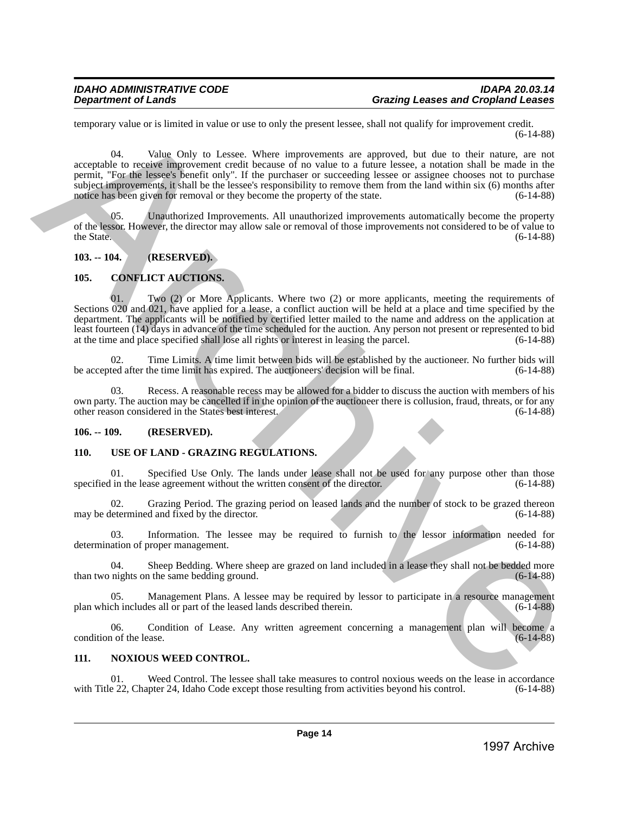# *IDAHO ADMINISTRATIVE CODE IDAPA 20.03.14 Grazing Leases and Cropland Leases*

temporary value or is limited in value or use to only the present lessee, shall not qualify for improvement credit. (6-14-88)

04. Value Only to Lessee. Where improvements are approved, but due to their nature, are not acceptable to receive improvement credit because of no value to a future lessee, a notation shall be made in the permit, "For the lessee's benefit only". If the purchaser or succeeding lessee or assignee chooses not to purchase subject improvements, it shall be the lessee's responsibility to remove them from the land within six (6) months after notice has been given for removal or they become the property of the state.  $(6-14-88)$ beauticary value on is limited in value of as to tast the process isses, shall and quality lat improvement value of  $\frac{1}{2}$  and  $\frac{1}{2}$  and  $\frac{1}{2}$  and  $\frac{1}{2}$  and  $\frac{1}{2}$  and  $\frac{1}{2}$  and  $\frac{1}{2}$  and  $\frac{1}{2$ 

05. Unauthorized Improvements. All unauthorized improvements automatically become the property of the lessor. However, the director may allow sale or removal of those improvements not considered to be of value to the State. (6-14-88) the State.  $(6-14-88)$ 

# <span id="page-13-0"></span>**103. -- 104. (RESERVED).**

# <span id="page-13-1"></span>**105. CONFLICT AUCTIONS.**

Two (2) or More Applicants. Where two (2) or more applicants, meeting the requirements of Sections 020 and 021, have applied for a lease, a conflict auction will be held at a place and time specified by the department. The applicants will be notified by certified letter mailed to the name and address on the application at least fourteen (14) days in advance of the time scheduled for the auction. Any person not present or represented to bid at the time and place specified shall lose all rights or interest in leasing the parcel. (6-14-88) at the time and place specified shall lose all rights or interest in leasing the parcel.

02. Time Limits. A time limit between bids will be established by the auctioneer. No further bids will be accepted after the time limit has expired. The auctioneers' decision will be final. (6-14-88)

03. Recess. A reasonable recess may be allowed for a bidder to discuss the auction with members of his own party. The auction may be cancelled if in the opinion of the auctioneer there is collusion, fraud, threats, or for any other reason considered in the States best interest. (6-14-88) other reason considered in the States best interest.

# <span id="page-13-2"></span>**106. -- 109. (RESERVED).**

# <span id="page-13-3"></span>**110. USE OF LAND - GRAZING REGULATIONS.**

01. Specified Use Only. The lands under lease shall not be used for any purpose other than those in the lease agreement without the written consent of the director. (6-14-88) specified in the lease agreement without the written consent of the director.

02. Grazing Period. The grazing period on leased lands and the number of stock to be grazed thereon may be determined and fixed by the director. (6-14-88)

03. Information. The lessee may be required to furnish to the lessor information needed for ation of proper management. (6-14-88) determination of proper management.

04. Sheep Bedding. Where sheep are grazed on land included in a lease they shall not be bedded more nights on the same bedding ground. (6-14-88) than two nights on the same bedding ground.

Management Plans. A lessee may be required by lessor to participate in a resource management plan which includes all or part of the leased lands described therein. (6-14-88)

06. Condition of Lease. Any written agreement concerning a management plan will become a 1 of the lease. condition of the lease.

# <span id="page-13-4"></span>**111. NOXIOUS WEED CONTROL.**

01. Weed Control. The lessee shall take measures to control noxious weeds on the lease in accordance e 22, Chapter 24, Idaho Code except those resulting from activities beyond his control. (6-14-88) with Title 22, Chapter 24, Idaho Code except those resulting from activities beyond his control.